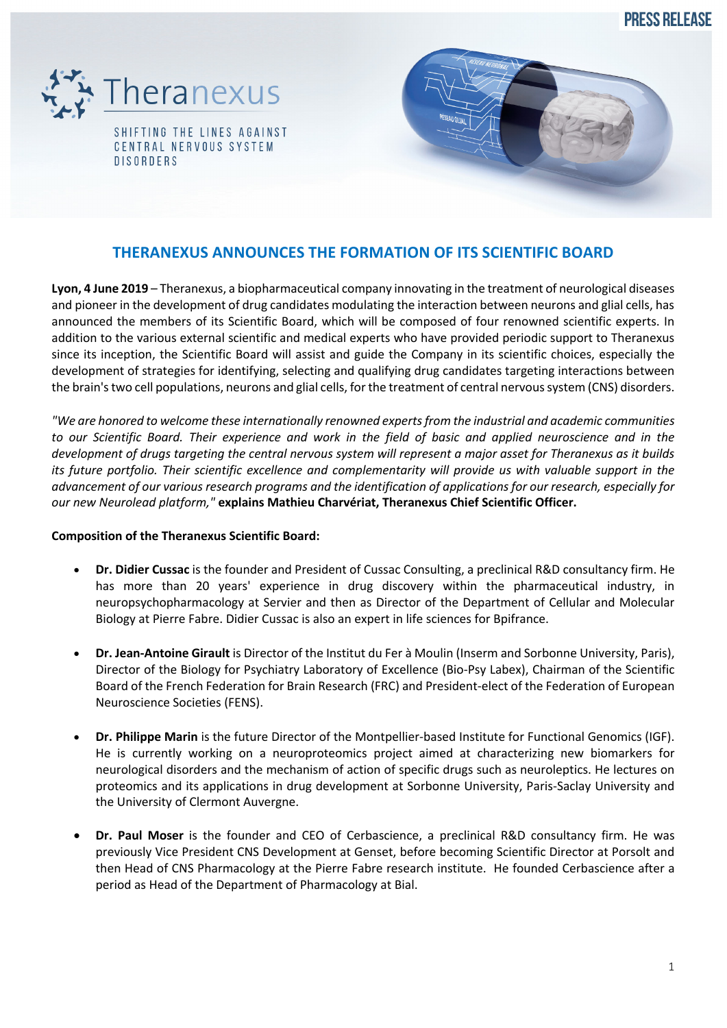**PRESS RELEASE** 





## **THERANEXUS ANNOUNCES THE FORMATION OF ITS SCIENTIFIC BOARD**

**Lyon, 4 June 2019** – Theranexus, a biopharmaceutical company innovating in the treatment of neurological diseases and pioneer in the development of drug candidates modulating the interaction between neurons and glial cells, has announced the members of its Scientific Board, which will be composed of four renowned scientific experts. In addition to the various external scientific and medical experts who have provided periodic support to Theranexus since its inception, the Scientific Board will assist and guide the Company in its scientific choices, especially the development of strategies for identifying, selecting and qualifying drug candidates targeting interactions between the brain's two cell populations, neurons and glial cells, for the treatment of central nervous system (CNS) disorders.

*"We are honored to welcome these internationally renowned experts from the industrial and academic communities to our Scientific Board. Their experience and work in the field of basic and applied neuroscience and in the development of drugs targeting the central nervous system will represent a major asset for Theranexus as it builds its future portfolio. Their scientific excellence and complementarity will provide us with valuable support in the advancement of our various research programs and the identification of applications for our research, especially for our new Neurolead platform,"* **explains Mathieu Charvériat, Theranexus Chief Scientific Officer.**

## **Composition of the Theranexus Scientific Board:**

- **Dr. Didier Cussac** is the founder and President of Cussac Consulting, a preclinical R&D consultancy firm. He has more than 20 years' experience in drug discovery within the pharmaceutical industry, in neuropsychopharmacology at Servier and then as Director of the Department of Cellular and Molecular Biology at Pierre Fabre. Didier Cussac is also an expert in life sciences for Bpifrance.
- **Dr. Jean-Antoine Girault** is Director of the Institut du Fer à Moulin (Inserm and Sorbonne University, Paris), Director of the Biology for Psychiatry Laboratory of Excellence (Bio-Psy Labex), Chairman of the Scientific Board of the French Federation for Brain Research (FRC) and President-elect of the Federation of European Neuroscience Societies (FENS).
- **Dr. Philippe Marin** is the future Director of the Montpellier-based Institute for Functional Genomics (IGF). He is currently working on a neuroproteomics project aimed at characterizing new biomarkers for neurological disorders and the mechanism of action of specific drugs such as neuroleptics. He lectures on proteomics and its applications in drug development at Sorbonne University, Paris-Saclay University and the University of Clermont Auvergne.
- **Dr. Paul Moser** is the founder and CEO of Cerbascience, a preclinical R&D consultancy firm. He was previously Vice President CNS Development at Genset, before becoming Scientific Director at Porsolt and then Head of CNS Pharmacology at the Pierre Fabre research institute. He founded Cerbascience after a period as Head of the Department of Pharmacology at Bial.